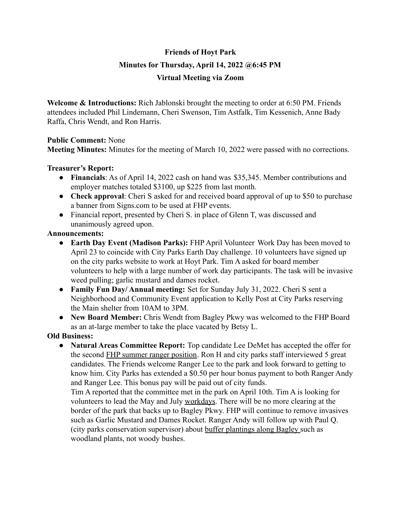# **Friends of Hoyt Park Minutes for Thursday, April 14, 2022 @6:45 PM Virtual Meeting via Zoom**

**Welcome & Introductions:** Rich Jablonski brought the meeting to order at 6:50 PM. Friends attendees included Phil Lindemann, Cheri Swenson, Tim Astfalk, Tim Kessenich, Anne Bady Raffa, Chris Wendt, and Ron Harris.

# **Public Comment:** None

**Meeting Minutes:** Minutes for the meeting of March 10, 2022 were passed with no corrections.

### **Treasurer's Report:**

- **Financials**: As of April 14, 2022 cash on hand was \$35,345. Member contributions and employer matches totaled \$3100, up \$225 from last month.
- **Check approval**: Cheri S asked for and received board approval of up to \$50 to purchase a banner from Signs.com to be used at FHP events.
- Financial report, presented by Cheri S. in place of Glenn T, was discussed and unanimously agreed upon.

### **Announcements:**

- **● Earth Day Event (Madison Parks):** FHP April Volunteer Work Day has been moved to April 23 to coincide with City Parks Earth Day challenge. 10 volunteers have signed up on the city parks website to work at Hoyt Park. Tim A asked for board member volunteers to help with a large number of work day participants. The task will be invasive weed pulling; garlic mustard and dames rocket.
- **● Family Fun Day/ Annual meeting:** Set for Sunday July 31, 2022. Cheri S sent a Neighborhood and Community Event application to Kelly Post at City Parks reserving the Main shelter from 10AM to 3PM.
- **● New Board Member:** Chris Wendt from Bagley Pkwy was welcomed to the FHP Board as an at-large member to take the place vacated by Betsy L.

# **Old Business:**

**● Natural Areas Committee Report:** Top candidate Lee DeMet has accepted the offer for the second FHP summer ranger position. Ron H and city parks staff interviewed 5 great candidates. The Friends welcome Ranger Lee to the park and look forward to getting to know him. City Parks has extended a \$0.50 per hour bonus payment to both Ranger Andy and Ranger Lee. This bonus pay will be paid out of city funds.

Tim A reported that the committee met in the park on April 10th. Tim A is looking for volunteers to lead the May and July workdays. There will be no more clearing at the border of the park that backs up to Bagley Pkwy. FHP will continue to remove invasives such as Garlic Mustard and Dames Rocket. Ranger Andy will follow up with Paul Q. (city parks conservation supervisor) about buffer plantings along Bagley such as woodland plants, not woody bushes.